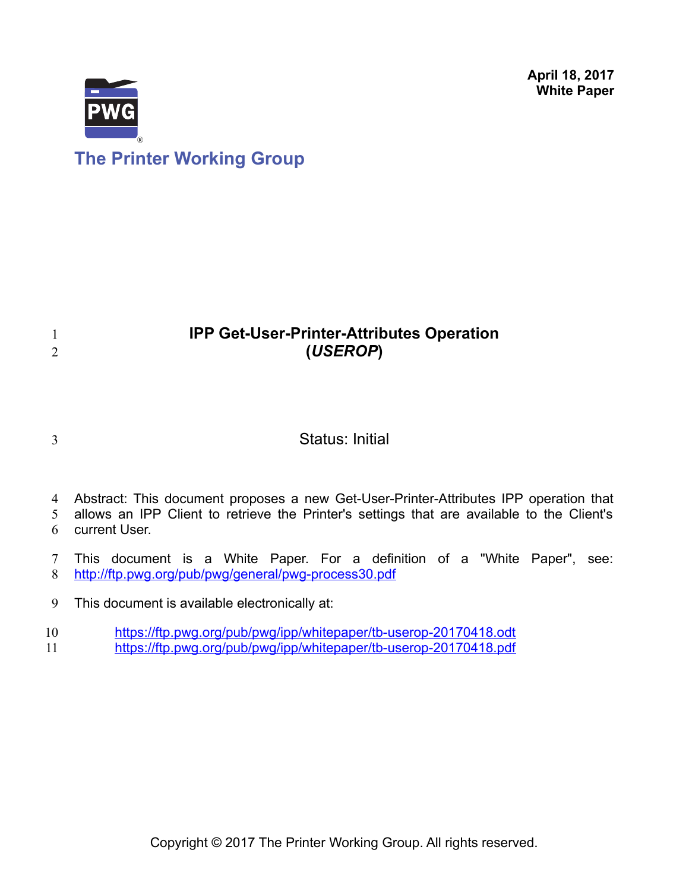**April 18, 2017 White Paper**



## **IPP Get-User-Printer-Attributes Operation (***USEROP***)**

3

1 2

## Status: Initial

4 Abstract: This document proposes a new Get-User-Printer-Attributes IPP operation that

allows an IPP Client to retrieve the Printer's settings that are available to the Client's current User. 5 6

This document is a White Paper. For a definition of a "White Paper", see: <http://ftp.pwg.org/pub/pwg/general/pwg-process30.pdf> 7 8

This document is available electronically at: 9

<https://ftp.pwg.org/pub/pwg/ipp/whitepaper/tb-userop-20170418.odt> 10

<https://ftp.pwg.org/pub/pwg/ipp/whitepaper/tb-userop-20170418.pdf> 11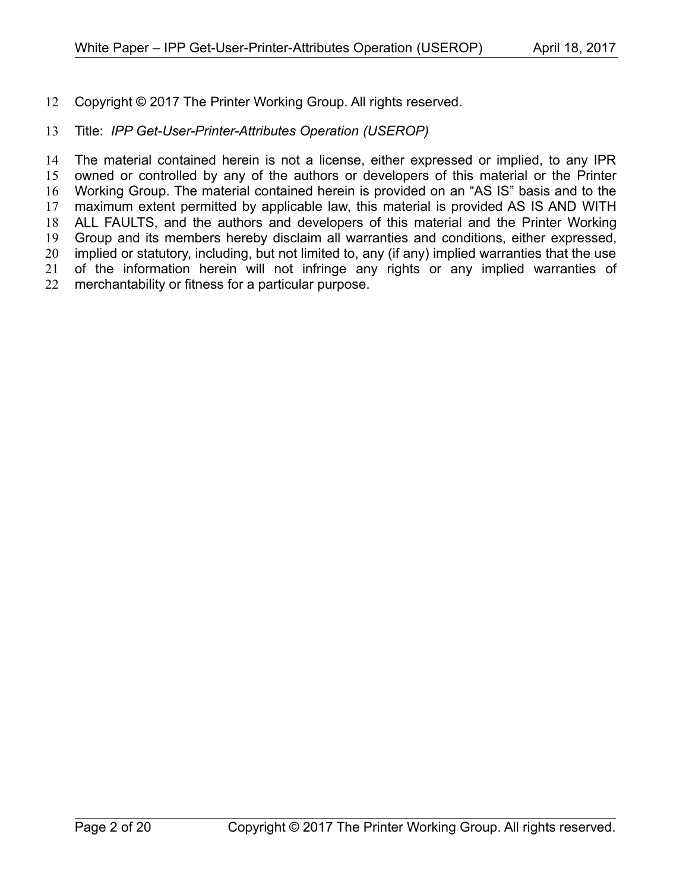Copyright © 2017 The Printer Working Group. All rights reserved. 12

#### Title: *IPP Get-User-Printer-Attributes Operation (USEROP)* 13

The material contained herein is not a license, either expressed or implied, to any IPR owned or controlled by any of the authors or developers of this material or the Printer Working Group. The material contained herein is provided on an "AS IS" basis and to the maximum extent permitted by applicable law, this material is provided AS IS AND WITH ALL FAULTS, and the authors and developers of this material and the Printer Working Group and its members hereby disclaim all warranties and conditions, either expressed, implied or statutory, including, but not limited to, any (if any) implied warranties that the use of the information herein will not infringe any rights or any implied warranties of merchantability or fitness for a particular purpose. 14 15 16 17 18 19 20 21 22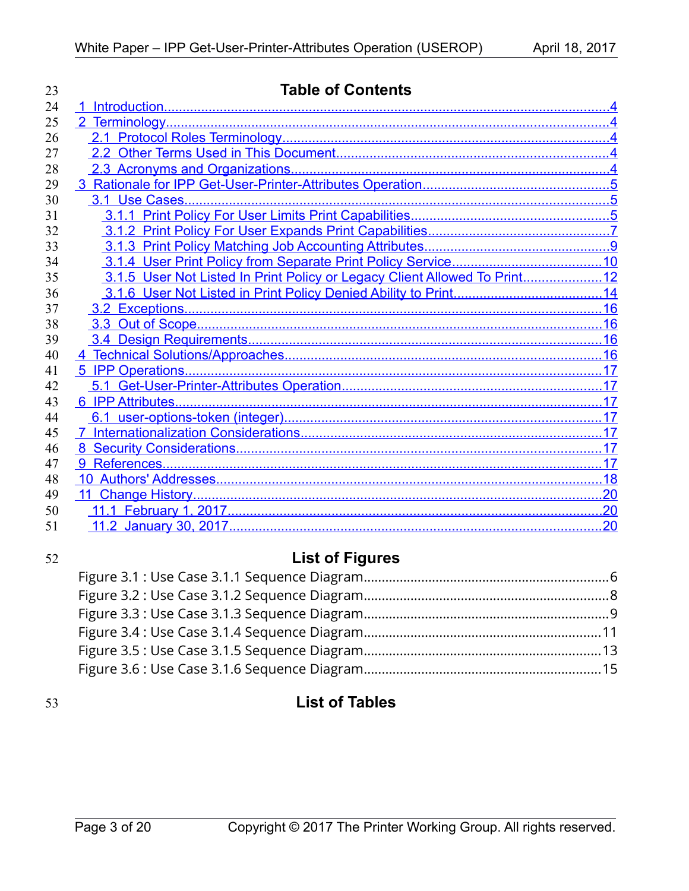| 23 | <b>Table of Contents</b>                                                  |    |  |  |
|----|---------------------------------------------------------------------------|----|--|--|
| 24 |                                                                           |    |  |  |
| 25 |                                                                           |    |  |  |
| 26 |                                                                           |    |  |  |
| 27 |                                                                           |    |  |  |
| 28 |                                                                           |    |  |  |
| 29 |                                                                           |    |  |  |
| 30 |                                                                           |    |  |  |
| 31 |                                                                           |    |  |  |
| 32 |                                                                           |    |  |  |
| 33 |                                                                           |    |  |  |
| 34 |                                                                           |    |  |  |
| 35 | 3.1.5 User Not Listed In Print Policy or Legacy Client Allowed To Print12 |    |  |  |
| 36 |                                                                           |    |  |  |
| 37 |                                                                           |    |  |  |
| 38 |                                                                           |    |  |  |
| 39 |                                                                           |    |  |  |
| 40 |                                                                           |    |  |  |
| 41 |                                                                           |    |  |  |
| 42 |                                                                           |    |  |  |
| 43 |                                                                           |    |  |  |
| 44 |                                                                           |    |  |  |
| 45 |                                                                           |    |  |  |
| 46 |                                                                           |    |  |  |
| 47 |                                                                           |    |  |  |
| 48 |                                                                           |    |  |  |
| 49 |                                                                           |    |  |  |
| 50 |                                                                           |    |  |  |
| 51 |                                                                           | 20 |  |  |

## 52

# **List of Figures**

## 53

## **List of Tables**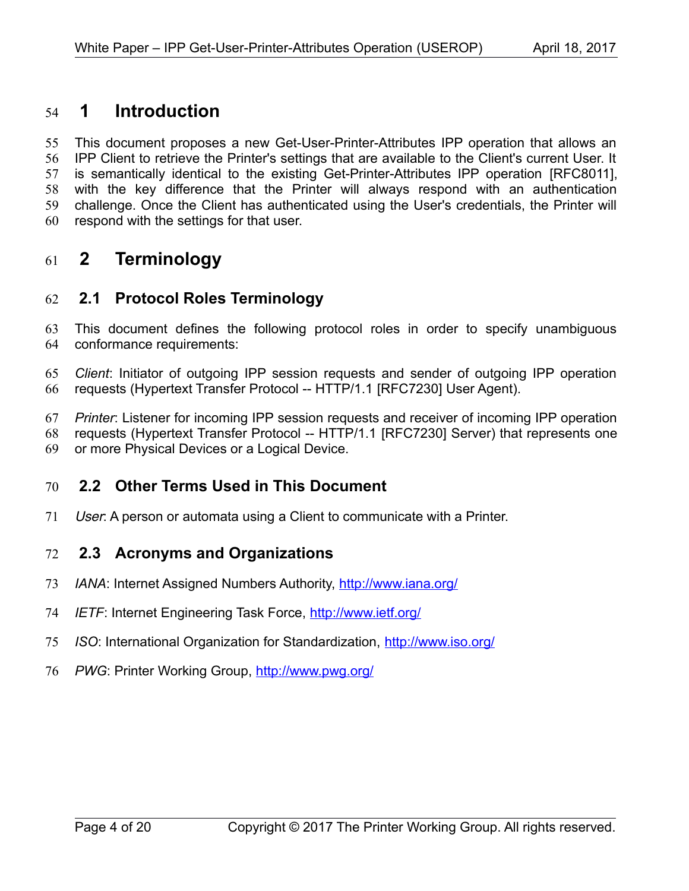### <span id="page-3-4"></span> **1 Introduction** 54

This document proposes a new Get-User-Printer-Attributes IPP operation that allows an IPP Client to retrieve the Printer's settings that are available to the Client's current User. It is semantically identical to the existing Get-Printer-Attributes IPP operation [\[RFC8011\],](#page-17-1) with the key difference that the Printer will always respond with an authentication challenge. Once the Client has authenticated using the User's credentials, the Printer will respond with the settings for that user. 55 56 57 58 59 60

## <span id="page-3-3"></span> **2 Terminology** 61

### <span id="page-3-2"></span> **2.1 Protocol Roles Terminology** 62

This document defines the following protocol roles in order to specify unambiguous conformance requirements: 63 64

*Client*: Initiator of outgoing IPP session requests and sender of outgoing IPP operation requests (Hypertext Transfer Protocol -- HTTP/1.1 [\[RFC7230\]](#page-17-2) User Agent). 65 66

*Printer*: Listener for incoming IPP session requests and receiver of incoming IPP operation requests (Hypertext Transfer Protocol -- HTTP/1.1 [\[RFC7230\]](#page-17-2) Server) that represents one 67 68

or more Physical Devices or a Logical Device. 69

#### <span id="page-3-1"></span> **2.2 Other Terms Used in This Document** 70

User: A person or automata using a Client to communicate with a Printer. 71

#### <span id="page-3-0"></span> **2.3 Acronyms and Organizations** 72

- *IANA*: Internet Assigned Numbers Authority,<http://www.iana.org/> 73
- *IETF*: Internet Engineering Task Force,<http://www.ietf.org/> 74
- *ISO*: International Organization for Standardization,<http://www.iso.org/> 75
- 76 PWG: Printer Working Group, **http://www.pwg.org/**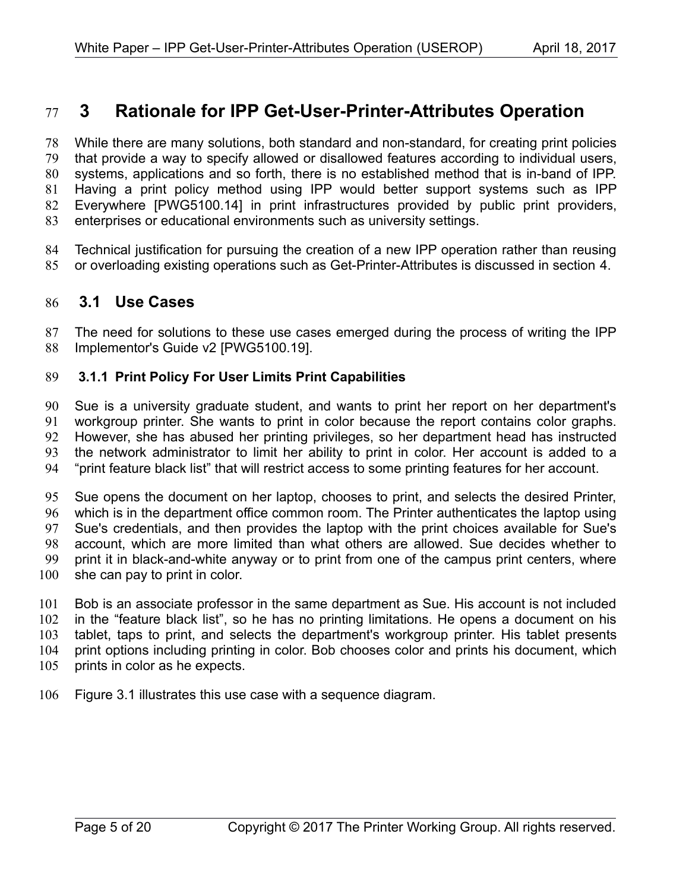## <span id="page-4-2"></span> **3 Rationale for IPP Get-User-Printer-Attributes Operation** 77

While there are many solutions, both standard and non-standard, for creating print policies that provide a way to specify allowed or disallowed features according to individual users, systems, applications and so forth, there is no established method that is in-band of IPP. Having a print policy method using IPP would better support systems such as IPP Everywhere [\[PWG5100.14\]](#page-17-4) in print infrastructures provided by public print providers, enterprises or educational environments such as university settings. 78 79 80 81 82 83

Technical justification for pursuing the creation of a new IPP operation rather than reusing or overloading existing operations such as Get-Printer-Attributes is discussed in section [4.](#page-15-0) 84 85

#### <span id="page-4-1"></span> **3.1 Use Cases** 86

The need for solutions to these use cases emerged during the process of writing the IPP Implementor's Guide v2 [\[PWG5100.19\].](#page-17-3) 87 88

#### <span id="page-4-0"></span> **3.1.1 Print Policy For User Limits Print Capabilities** 89

Sue is a university graduate student, and wants to print her report on her department's workgroup printer. She wants to print in color because the report contains color graphs. However, she has abused her printing privileges, so her department head has instructed the network administrator to limit her ability to print in color. Her account is added to a "print feature black list" that will restrict access to some printing features for her account. 90 91 92 93 94

Sue opens the document on her laptop, chooses to print, and selects the desired Printer, which is in the department office common room. The Printer authenticates the laptop using Sue's credentials, and then provides the laptop with the print choices available for Sue's account, which are more limited than what others are allowed. Sue decides whether to print it in black-and-white anyway or to print from one of the campus print centers, where she can pay to print in color. 95 96 97 98 99 100

Bob is an associate professor in the same department as Sue. His account is not included in the "feature black list", so he has no printing limitations. He opens a document on his tablet, taps to print, and selects the department's workgroup printer. His tablet presents print options including printing in color. Bob chooses color and prints his document, which prints in color as he expects. 101 102 103 104 105

Figure [3.1](#page-5-0) illustrates this use case with a sequence diagram. 106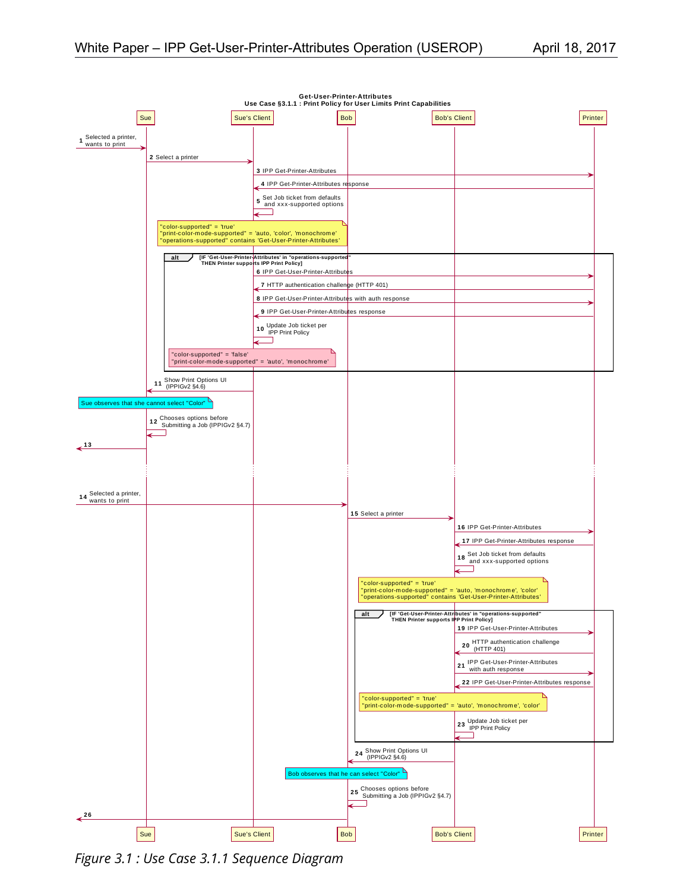

<span id="page-5-0"></span>*Figure 3.1 : Use Case 3.1.1 Sequence Diagram*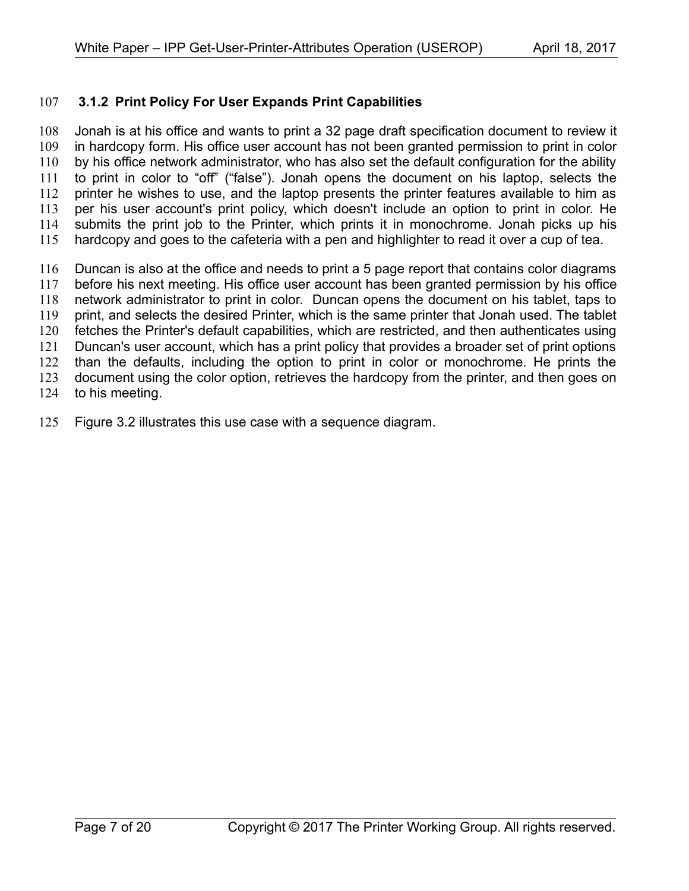#### <span id="page-6-0"></span> **3.1.2 Print Policy For User Expands Print Capabilities** 107

Jonah is at his office and wants to print a 32 page draft specification document to review it in hardcopy form. His office user account has not been granted permission to print in color by his office network administrator, who has also set the default configuration for the ability to print in color to "off" ("false"). Jonah opens the document on his laptop, selects the printer he wishes to use, and the laptop presents the printer features available to him as per his user account's print policy, which doesn't include an option to print in color. He submits the print job to the Printer, which prints it in monochrome. Jonah picks up his hardcopy and goes to the cafeteria with a pen and highlighter to read it over a cup of tea. 108 109 110 111 112 113 114 115

- Duncan is also at the office and needs to print a 5 page report that contains color diagrams before his next meeting. His office user account has been granted permission by his office network administrator to print in color. Duncan opens the document on his tablet, taps to print, and selects the desired Printer, which is the same printer that Jonah used. The tablet fetches the Printer's default capabilities, which are restricted, and then authenticates using Duncan's user account, which has a print policy that provides a broader set of print options than the defaults, including the option to print in color or monochrome. He prints the document using the color option, retrieves the hardcopy from the printer, and then goes on to his meeting. 116 117 118 119 120 121 122 123 124
- Figure [3.2](#page-7-0) illustrates this use case with a sequence diagram. 125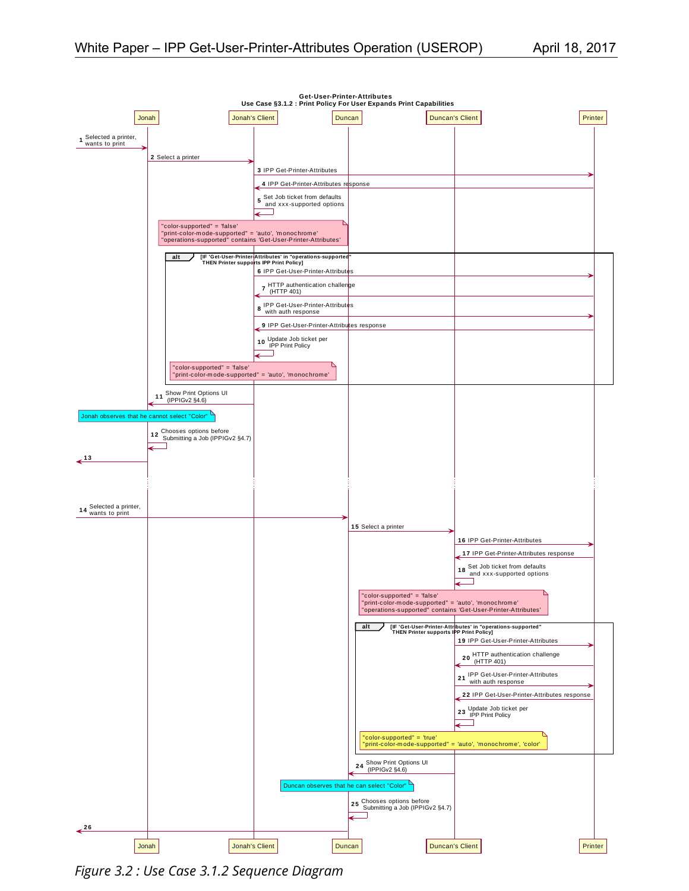

<span id="page-7-0"></span>*Figure 3.2 : Use Case 3.1.2 Sequence Diagram*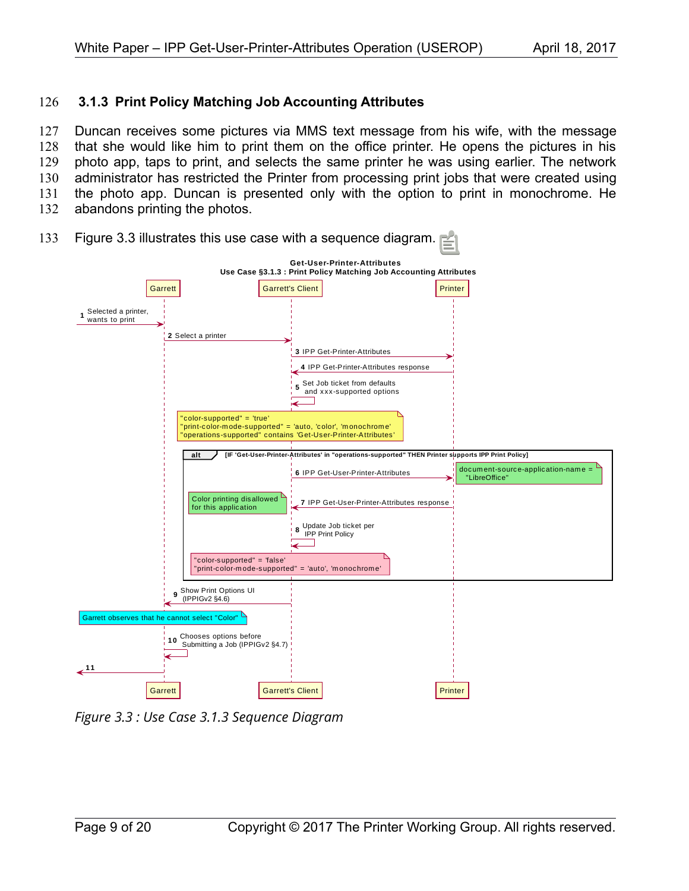#### <span id="page-8-0"></span> **3.1.3 Print Policy Matching Job Accounting Attributes** 126

Duncan receives some pictures via MMS text message from his wife, with the message that she would like him to print them on the office printer. He opens the pictures in his photo app, taps to print, and selects the same printer he was using earlier. The network administrator has restricted the Printer from processing print jobs that were created using the photo app. Duncan is presented only with the option to print in monochrome. He abandons printing the photos. 127 128 129 130 131 132



Figure [3.3](#page-8-1) illustrates this use case with a sequence diagram. 133

<span id="page-8-1"></span>*Figure 3.3 : Use Case 3.1.3 Sequence Diagram*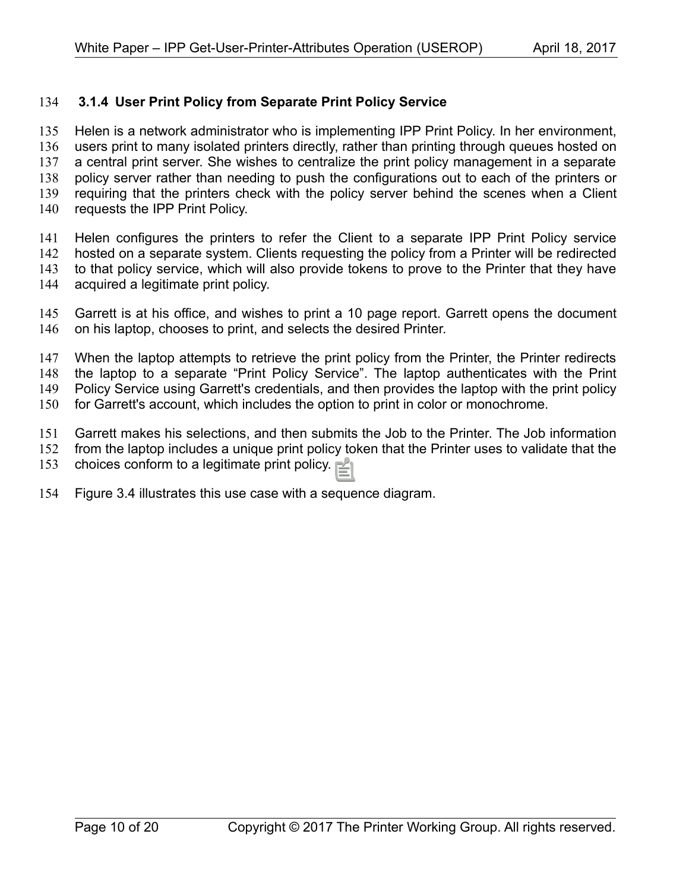#### <span id="page-9-0"></span> **3.1.4 User Print Policy from Separate Print Policy Service** 134

Helen is a network administrator who is implementing IPP Print Policy. In her environment, users print to many isolated printers directly, rather than printing through queues hosted on a central print server. She wishes to centralize the print policy management in a separate policy server rather than needing to push the configurations out to each of the printers or requiring that the printers check with the policy server behind the scenes when a Client requests the IPP Print Policy. 135 136 137 138 139 140

Helen configures the printers to refer the Client to a separate IPP Print Policy service hosted on a separate system. Clients requesting the policy from a Printer will be redirected to that policy service, which will also provide tokens to prove to the Printer that they have acquired a legitimate print policy. 141 142 143 144

Garrett is at his office, and wishes to print a 10 page report. Garrett opens the document on his laptop, chooses to print, and selects the desired Printer. 145 146

When the laptop attempts to retrieve the print policy from the Printer, the Printer redirects the laptop to a separate "Print Policy Service". The laptop authenticates with the Print Policy Service using Garrett's credentials, and then provides the laptop with the print policy for Garrett's account, which includes the option to print in color or monochrome. 147 148 149 150

Garrett makes his selections, and then submits the Job to the Printer. The Job information from the laptop includes a unique print policy token that the Printer uses to validate that the 151 152

choices conform to a legitimate print policy. 153

Figure [3.4](#page-10-0) illustrates this use case with a sequence diagram. 154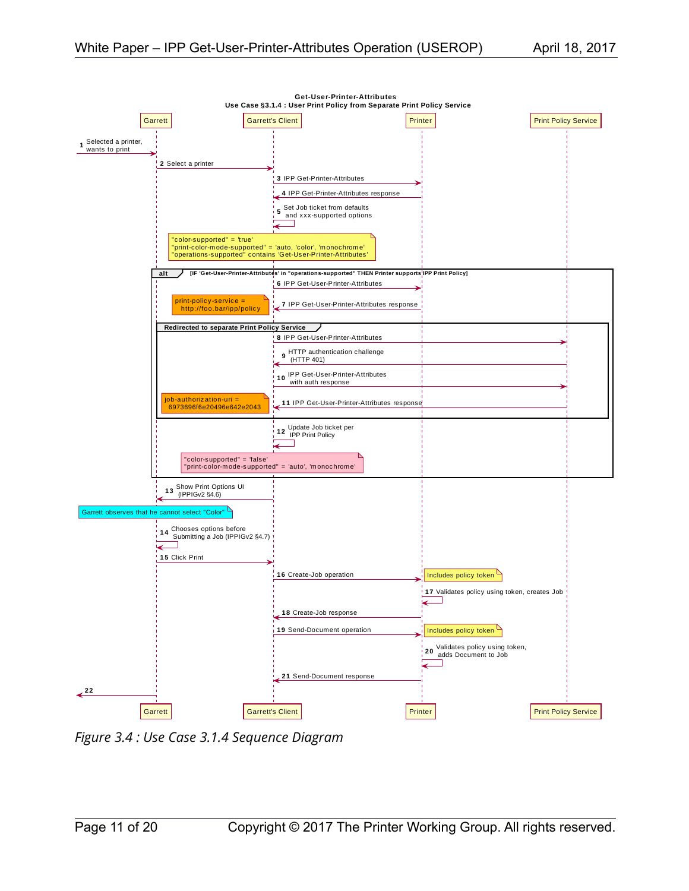

<span id="page-10-0"></span>*Figure 3.4 : Use Case 3.1.4 Sequence Diagram*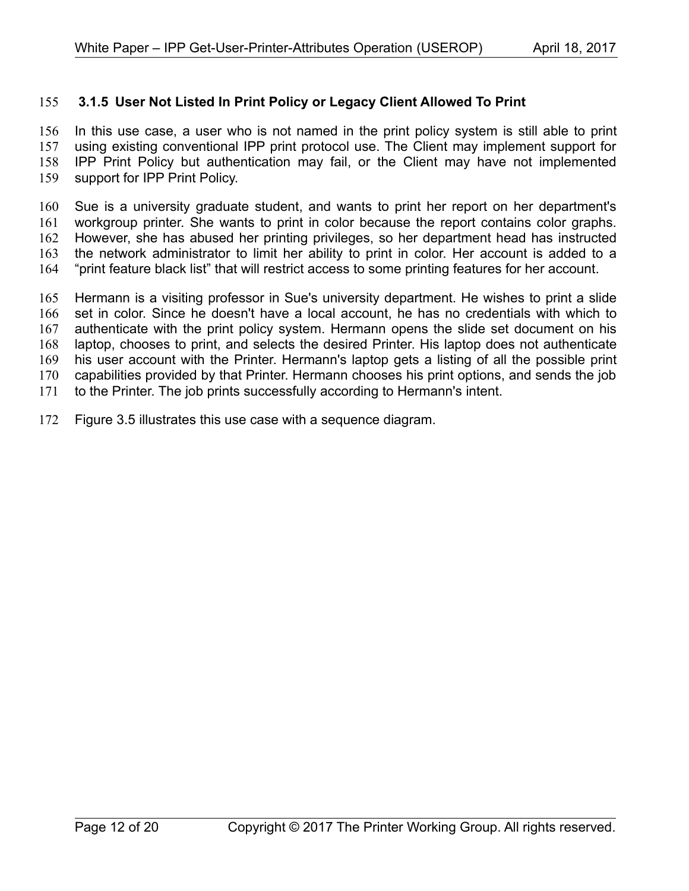#### <span id="page-11-0"></span> **3.1.5 User Not Listed In Print Policy or Legacy Client Allowed To Print** 155

In this use case, a user who is not named in the print policy system is still able to print using existing conventional IPP print protocol use. The Client may implement support for IPP Print Policy but authentication may fail, or the Client may have not implemented support for IPP Print Policy. 156 157 158 159

Sue is a university graduate student, and wants to print her report on her department's workgroup printer. She wants to print in color because the report contains color graphs. However, she has abused her printing privileges, so her department head has instructed the network administrator to limit her ability to print in color. Her account is added to a "print feature black list" that will restrict access to some printing features for her account. 160 161 162 163 164

Hermann is a visiting professor in Sue's university department. He wishes to print a slide set in color. Since he doesn't have a local account, he has no credentials with which to authenticate with the print policy system. Hermann opens the slide set document on his laptop, chooses to print, and selects the desired Printer. His laptop does not authenticate his user account with the Printer. Hermann's laptop gets a listing of all the possible print capabilities provided by that Printer. Hermann chooses his print options, and sends the job to the Printer. The job prints successfully according to Hermann's intent. 165 166 167 168 169 170 171

Figure [3.5](#page-12-0) illustrates this use case with a sequence diagram. 172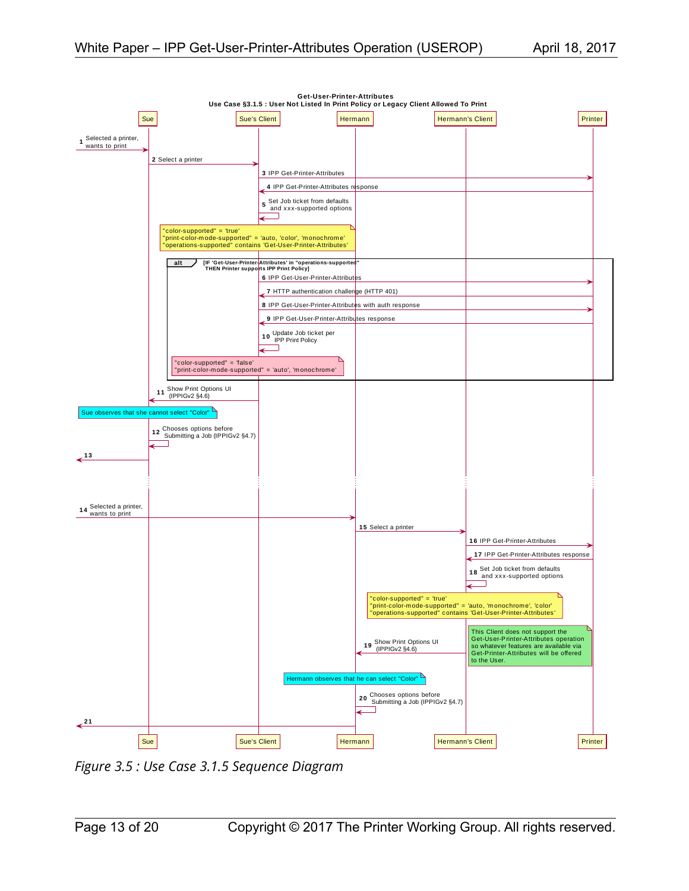

<span id="page-12-0"></span>*Figure 3.5 : Use Case 3.1.5 Sequence Diagram*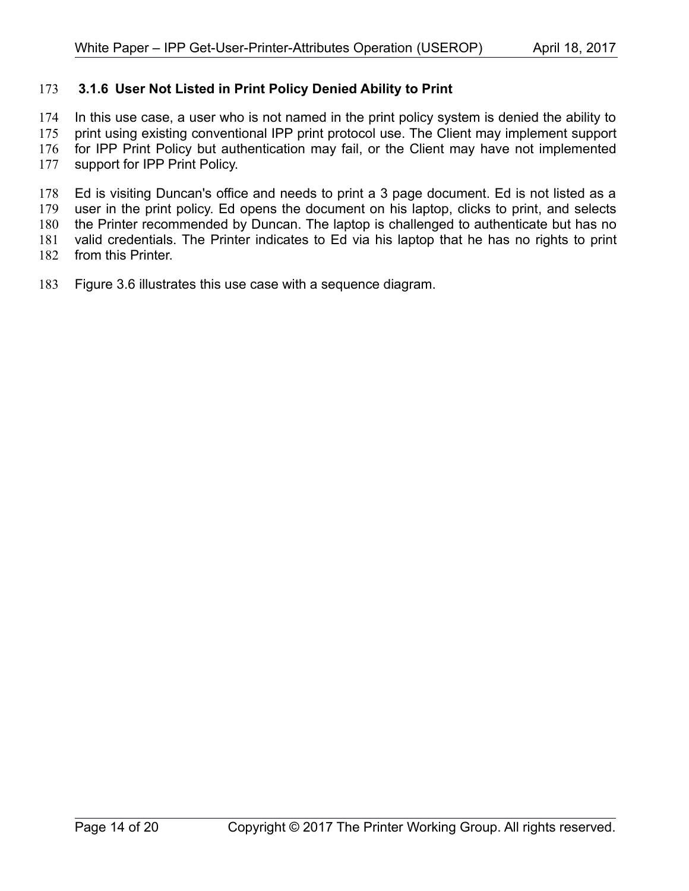#### <span id="page-13-0"></span> **3.1.6 User Not Listed in Print Policy Denied Ability to Print** 173

In this use case, a user who is not named in the print policy system is denied the ability to 174

print using existing conventional IPP print protocol use. The Client may implement support for IPP Print Policy but authentication may fail, or the Client may have not implemented 175 176

support for IPP Print Policy. 177

Ed is visiting Duncan's office and needs to print a 3 page document. Ed is not listed as a user in the print policy. Ed opens the document on his laptop, clicks to print, and selects the Printer recommended by Duncan. The laptop is challenged to authenticate but has no valid credentials. The Printer indicates to Ed via his laptop that he has no rights to print 178 179 180 181

from this Printer. 182

Figure [3.6](#page-14-0) illustrates this use case with a sequence diagram. 183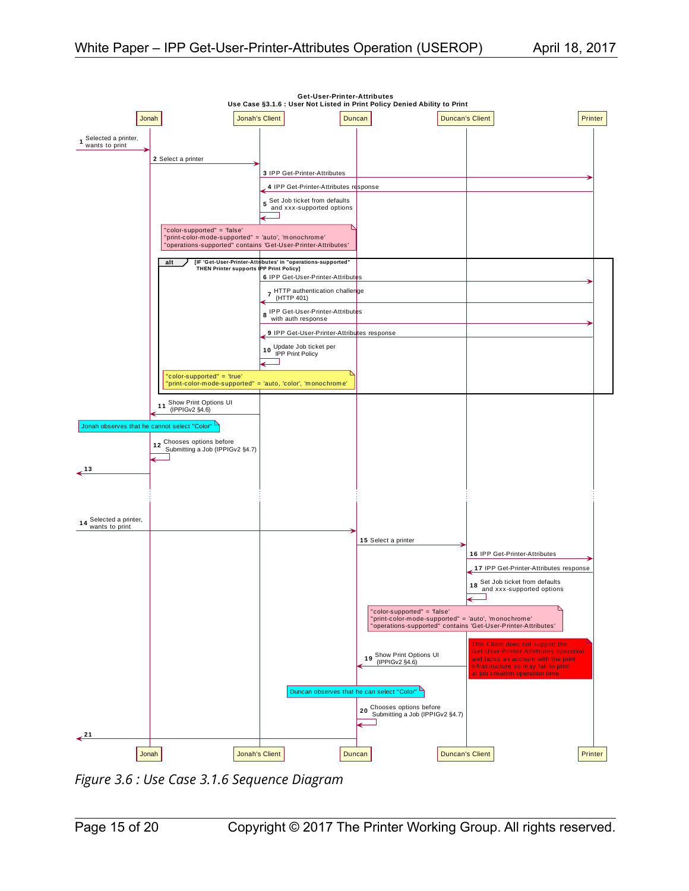

<span id="page-14-0"></span>*Figure 3.6 : Use Case 3.1.6 Sequence Diagram*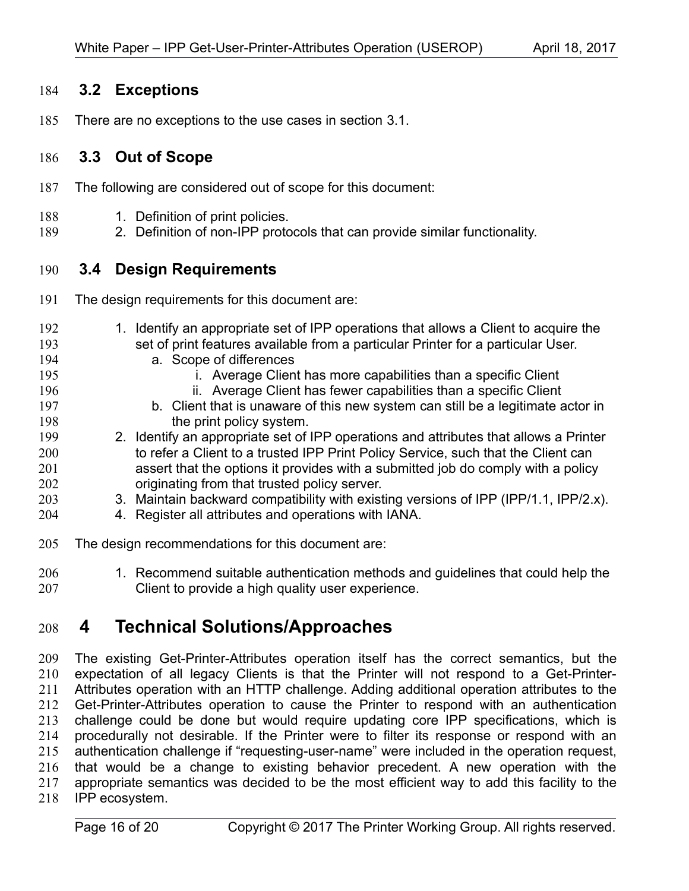#### <span id="page-15-3"></span> **3.2 Exceptions** 184

There are no exceptions to the use cases in section [3.1.](#page-4-1) 185

#### <span id="page-15-2"></span> **3.3 Out of Scope** 186

- The following are considered out of scope for this document: 187
- 1. Definition of print policies. 188
- 2. Definition of non-IPP protocols that can provide similar functionality. 189

#### <span id="page-15-1"></span> **3.4 Design Requirements** 190

- The design requirements for this document are: 191
- 1. Identify an appropriate set of IPP operations that allows a Client to acquire the set of print features available from a particular Printer for a particular User. a. Scope of differences i. Average Client has more capabilities than a specific Client ii. Average Client has fewer capabilities than a specific Client b. Client that is unaware of this new system can still be a legitimate actor in the print policy system. 2. Identify an appropriate set of IPP operations and attributes that allows a Printer to refer a Client to a trusted IPP Print Policy Service, such that the Client can assert that the options it provides with a submitted job do comply with a policy 192 193 194 195 196 197 198 199 200 201
- originating from that trusted policy server. 3. Maintain backward compatibility with existing versions of IPP (IPP/1.1, IPP/2.x). 202 203
- 4. Register all attributes and operations with IANA. 204
- The design recommendations for this document are: 205
- 1. Recommend suitable authentication methods and guidelines that could help the Client to provide a high quality user experience. 206 207

## <span id="page-15-0"></span> **4 Technical Solutions/Approaches** 208

The existing Get-Printer-Attributes operation itself has the correct semantics, but the expectation of all legacy Clients is that the Printer will not respond to a Get-Printer-Attributes operation with an HTTP challenge. Adding additional operation attributes to the Get-Printer-Attributes operation to cause the Printer to respond with an authentication challenge could be done but would require updating core IPP specifications, which is procedurally not desirable. If the Printer were to filter its response or respond with an authentication challenge if "requesting-user-name" were included in the operation request, that would be a change to existing behavior precedent. A new operation with the appropriate semantics was decided to be the most efficient way to add this facility to the IPP ecosystem. 209 210 211 212 213 214 215 216 217 218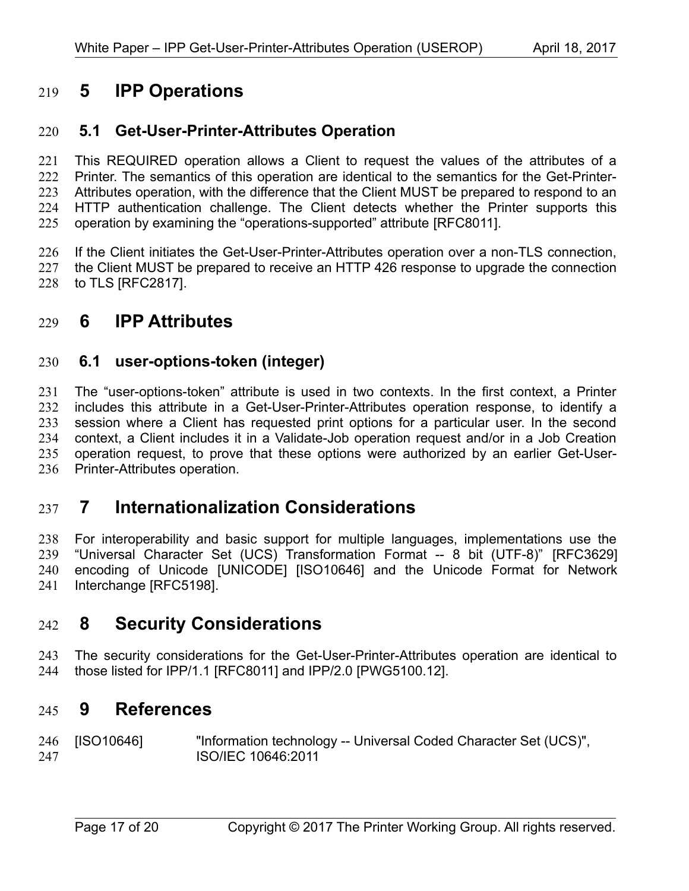## <span id="page-16-6"></span> **5 IPP Operations** 219

#### <span id="page-16-5"></span> **5.1 Get-User-Printer-Attributes Operation** 220

This REQUIRED operation allows a Client to request the values of the attributes of a Printer. The semantics of this operation are identical to the semantics for the Get-Printer-Attributes operation, with the difference that the Client MUST be prepared to respond to an HTTP authentication challenge. The Client detects whether the Printer supports this operation by examining the "operations-supported" attribute [\[RFC8011\].](#page-17-1) 221 222 223 224 225

If the Client initiates the Get-User-Printer-Attributes operation over a non-TLS connection, 226

the Client MUST be prepared to receive an HTTP 426 response to upgrade the connection to TLS [\[RFC2817\].](#page-17-9) 227 228

## <span id="page-16-4"></span> **6 IPP Attributes** 229

#### <span id="page-16-3"></span> **6.1 user-options-token (integer)** 230

The "user-options-token" attribute is used in two contexts. In the first context, a Printer includes this attribute in a Get-User-Printer-Attributes operation response, to identify a session where a Client has requested print options for a particular user. In the second context, a Client includes it in a Validate-Job operation request and/or in a Job Creation operation request, to prove that these options were authorized by an earlier Get-User-Printer-Attributes operation. 231 232 233 234 235 236

### <span id="page-16-2"></span> **7 Internationalization Considerations** 237

For interoperability and basic support for multiple languages, implementations use the "Universal Character Set (UCS) Transformation Format -- 8 bit (UTF-8)" [\[RFC3629\]](#page-17-8) encoding of Unicode [\[UNICODE\]](#page-17-7) [\[ISO10646\]](#page-16-7) and the Unicode Format for Network Interchange [\[RFC5198\].](#page-17-6) 238 239 240 241

### <span id="page-16-1"></span> **8 Security Considerations** 242

The security considerations for the Get-User-Printer-Attributes operation are identical to those listed for IPP/1.1 [\[RFC8011\]](#page-17-1) and IPP/2.0 [\[PWG5100.12\].](#page-17-5) 243 244

### <span id="page-16-0"></span> **9 References** 245

<span id="page-16-7"></span>[ISO10646] "Information technology -- Universal Coded Character Set (UCS)", ISO/IEC 10646:2011 246 247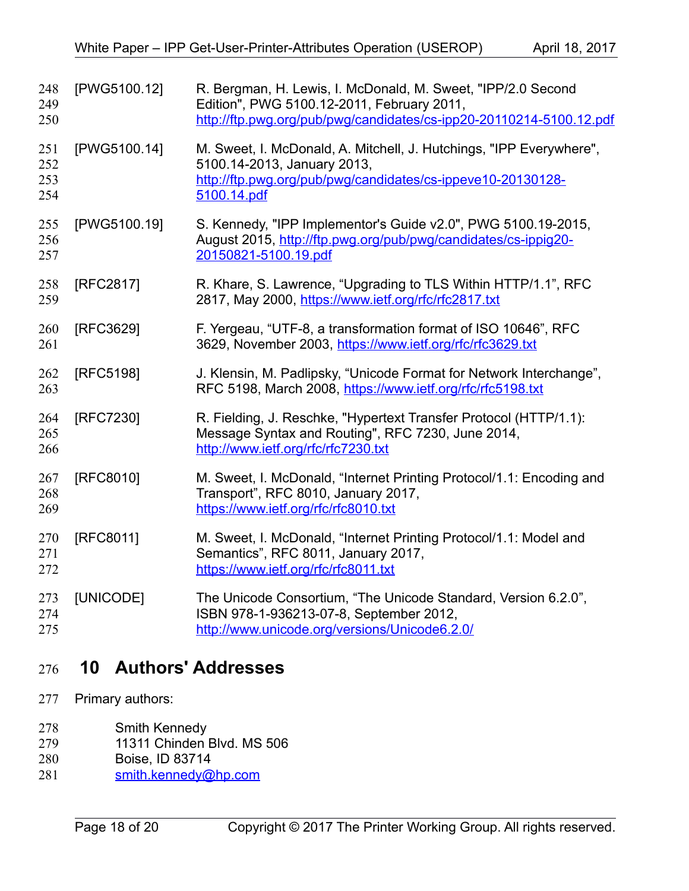<span id="page-17-9"></span><span id="page-17-8"></span><span id="page-17-6"></span><span id="page-17-5"></span><span id="page-17-4"></span><span id="page-17-3"></span>

| 248<br>249<br>250        | [PWG5100.12] | R. Bergman, H. Lewis, I. McDonald, M. Sweet, "IPP/2.0 Second<br>Edition", PWG 5100.12-2011, February 2011,<br>http://ftp.pwg.org/pub/pwg/candidates/cs-ipp20-20110214-5100.12.pdf |
|--------------------------|--------------|-----------------------------------------------------------------------------------------------------------------------------------------------------------------------------------|
| 251<br>252<br>253<br>254 | [PWG5100.14] | M. Sweet, I. McDonald, A. Mitchell, J. Hutchings, "IPP Everywhere",<br>5100.14-2013, January 2013,<br>http://ftp.pwg.org/pub/pwg/candidates/cs-ippeve10-20130128-<br>5100.14.pdf  |
| 255<br>256<br>257        | [PWG5100.19] | S. Kennedy, "IPP Implementor's Guide v2.0", PWG 5100.19-2015,<br>August 2015, http://ftp.pwg.org/pub/pwg/candidates/cs-ippig20-<br>20150821-5100.19.pdf                           |
| 258<br>259               | [RFC2817]    | R. Khare, S. Lawrence, "Upgrading to TLS Within HTTP/1.1", RFC<br>2817, May 2000, https://www.ietf.org/rfc/rfc2817.txt                                                            |
| 260<br>261               | [RFC3629]    | F. Yergeau, "UTF-8, a transformation format of ISO 10646", RFC<br>3629, November 2003, https://www.ietf.org/rfc/rfc3629.txt                                                       |
| 262<br>263               | [RFC5198]    | J. Klensin, M. Padlipsky, "Unicode Format for Network Interchange",<br>RFC 5198, March 2008, https://www.ietf.org/rfc/rfc5198.txt                                                 |
| 264<br>265<br>266        | [RFC7230]    | R. Fielding, J. Reschke, "Hypertext Transfer Protocol (HTTP/1.1):<br>Message Syntax and Routing", RFC 7230, June 2014,<br>http://www.ietf.org/rfc/rfc7230.txt                     |
| 267<br>268<br>269        | [RFC8010]    | M. Sweet, I. McDonald, "Internet Printing Protocol/1.1: Encoding and<br>Transport", RFC 8010, January 2017,<br>https://www.ietf.org/rfc/rfc8010.txt                               |
| 270<br>271<br>272        | [RFC8011]    | M. Sweet, I. McDonald, "Internet Printing Protocol/1.1: Model and<br>Semantics", RFC 8011, January 2017,<br>https://www.ietf.org/rfc/rfc8011.txt                                  |
| 273<br>274<br>275        | [UNICODE]    | The Unicode Consortium, "The Unicode Standard, Version 6.2.0",<br>ISBN 978-1-936213-07-8, September 2012,<br>http://www.unicode.org/versions/Unicode6.2.0/                        |

## <span id="page-17-7"></span><span id="page-17-2"></span><span id="page-17-1"></span><span id="page-17-0"></span> **10 Authors' Addresses** 276

- Primary authors: 277
- Smith Kennedy 278
- 11311 Chinden Blvd. MS 506 279
- Boise, ID 83714 280
- [smith.kennedy@hp.com](mailto:smith.kennedy@hp.com) 281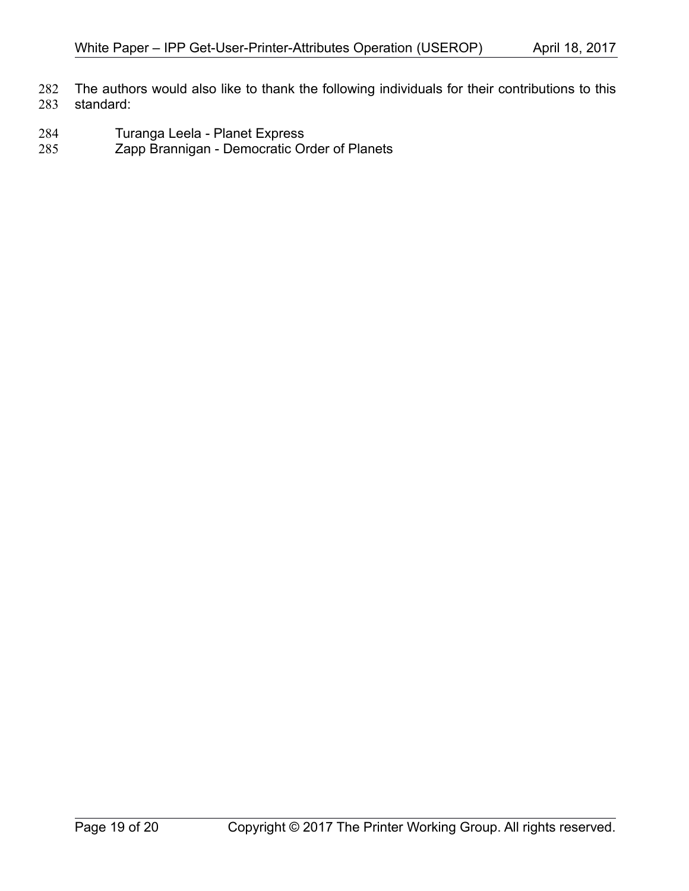The authors would also like to thank the following individuals for their contributions to this standard: 282 283

- Turanga Leela Planet Express 284
- Zapp Brannigan Democratic Order of Planets 285